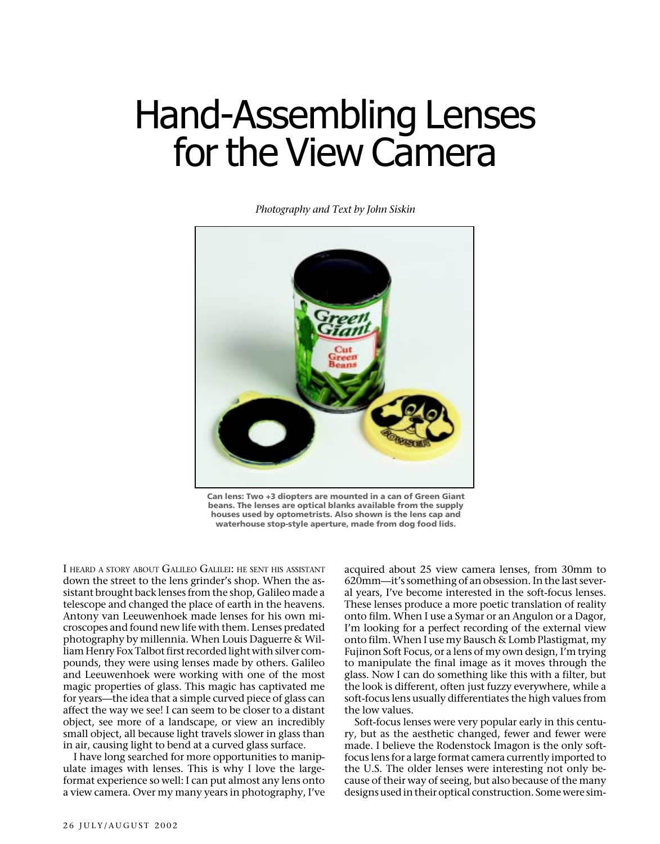## Hand-Assembling Lenses for the View Camera

*Photography and Text by John Siskin*



**Can lens: Two +3 diopters are mounted in a can of Green Giant beans. The lenses are optical blanks available from the supply houses used by optometrists. Also shown is the lens cap and waterhouse stop-style aperture, made from dog food lids.**

I HEARD A STORY ABOUT GALILEO GALILEI: HE SENT HIS ASSISTANT down the street to the lens grinder's shop. When the assistant brought back lenses from the shop, Galileo made a telescope and changed the place of earth in the heavens. Antony van Leeuwenhoek made lenses for his own microscopes and found new life with them. Lenses predated photography by millennia. When Louis Daguerre & William Henry Fox Talbot first recorded light with silver compounds, they were using lenses made by others. Galileo and Leeuwenhoek were working with one of the most magic properties of glass. This magic has captivated me for years—the idea that a simple curved piece of glass can affect the way we see! I can seem to be closer to a distant object, see more of a landscape, or view an incredibly small object, all because light travels slower in glass than in air, causing light to bend at a curved glass surface.

I have long searched for more opportunities to manipulate images with lenses. This is why I love the largeformat experience so well: I can put almost any lens onto a view camera. Over my many years in photography, I've

acquired about 25 view camera lenses, from 30mm to 620mm—it's something of an obsession. In the last several years, I've become interested in the soft-focus lenses. These lenses produce a more poetic translation of reality onto film. When I use a Symar or an Angulon or a Dagor, I'm looking for a perfect recording of the external view onto film. When I use my Bausch & Lomb Plastigmat, my Fujinon Soft Focus, or a lens of my own design, I'm trying to manipulate the final image as it moves through the glass. Now I can do something like this with a filter, but the look is different, often just fuzzy everywhere, while a soft-focus lens usually differentiates the high values from the low values.

Soft-focus lenses were very popular early in this century, but as the aesthetic changed, fewer and fewer were made. I believe the Rodenstock Imagon is the only softfocus lens for a large format camera currently imported to the U.S. The older lenses were interesting not only because of their way of seeing, but also because of the many designs used in their optical construction. Some were sim-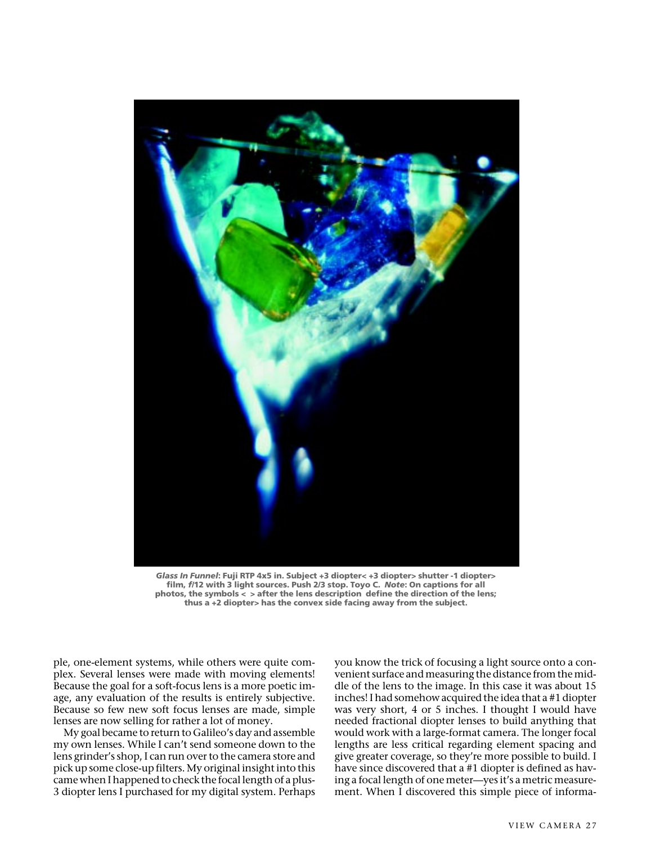

*Glass In Funnel***: Fuji RTP 4x5 in. Subject +3 diopter< +3 diopter> shutter -1 diopter> film,** *f/***12 with 3 light sources. Push 2/3 stop. Toyo C.** *Note***: On captions for all photos, the symbols < > after the lens description define the direction of the lens; thus a +2 diopter> has the convex side facing away from the subject.**

ple, one-element systems, while others were quite complex. Several lenses were made with moving elements! Because the goal for a soft-focus lens is a more poetic image, any evaluation of the results is entirely subjective. Because so few new soft focus lenses are made, simple lenses are now selling for rather a lot of money.

My goal became to return to Galileo's day and assemble my own lenses. While I can't send someone down to the lens grinder's shop, I can run over to the camera store and pick up some close-up filters. My original insight into this came when I happened to check the focal length of a plus-3 diopter lens I purchased for my digital system. Perhaps you know the trick of focusing a light source onto a convenient surface and measuring the distance from the middle of the lens to the image. In this case it was about 15 inches! I had somehow acquired the idea that a #1 diopter was very short, 4 or 5 inches. I thought I would have needed fractional diopter lenses to build anything that would work with a large-format camera. The longer focal lengths are less critical regarding element spacing and give greater coverage, so they're more possible to build. I have since discovered that a #1 diopter is defined as having a focal length of one meter—yes it's a metric measurement. When I discovered this simple piece of informa-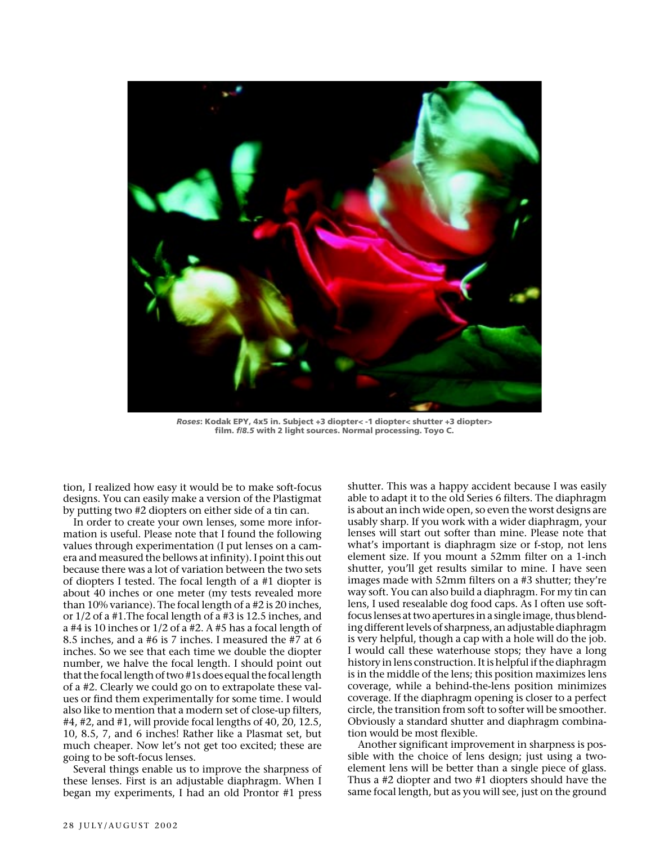

*Roses***: Kodak EPY, 4x5 in. Subject +3 diopter< -1 diopter< shutter +3 diopter> film.** *f/8.5* **with 2 light sources. Normal processing. Toyo C.**

tion, I realized how easy it would be to make soft-focus designs. You can easily make a version of the Plastigmat by putting two #2 diopters on either side of a tin can.

In order to create your own lenses, some more information is useful. Please note that I found the following values through experimentation (I put lenses on a camera and measured the bellows at infinity). I point this out because there was a lot of variation between the two sets of diopters I tested. The focal length of a #1 diopter is about 40 inches or one meter (my tests revealed more than 10% variance). The focal length of a #2 is 20 inches, or 1/2 of a #1.The focal length of a #3 is 12.5 inches, and a #4 is 10 inches or 1/2 of a #2. A #5 has a focal length of 8.5 inches, and a #6 is 7 inches. I measured the #7 at 6 inches. So we see that each time we double the diopter number, we halve the focal length. I should point out that the focal length of two #1s does equal the focal length of a #2. Clearly we could go on to extrapolate these values or find them experimentally for some time. I would also like to mention that a modern set of close-up filters, #4, #2, and #1, will provide focal lengths of 40, 20, 12.5, 10, 8.5, 7, and 6 inches! Rather like a Plasmat set, but much cheaper. Now let's not get too excited; these are going to be soft-focus lenses.

Several things enable us to improve the sharpness of these lenses. First is an adjustable diaphragm. When I began my experiments, I had an old Prontor #1 press shutter. This was a happy accident because I was easily able to adapt it to the old Series 6 filters. The diaphragm is about an inch wide open, so even the worst designs are usably sharp. If you work with a wider diaphragm, your lenses will start out softer than mine. Please note that what's important is diaphragm size or f-stop, not lens element size. If you mount a 52mm filter on a 1-inch shutter, you'll get results similar to mine. I have seen images made with 52mm filters on a #3 shutter; they're way soft. You can also build a diaphragm. For my tin can lens, I used resealable dog food caps. As I often use softfocus lenses at two apertures in a single image, thus blending different levels of sharpness, an adjustable diaphragm is very helpful, though a cap with a hole will do the job. I would call these waterhouse stops; they have a long history in lens construction. It is helpful if the diaphragm is in the middle of the lens; this position maximizes lens coverage, while a behind-the-lens position minimizes coverage. If the diaphragm opening is closer to a perfect circle, the transition from soft to softer will be smoother. Obviously a standard shutter and diaphragm combination would be most flexible.

Another significant improvement in sharpness is possible with the choice of lens design; just using a twoelement lens will be better than a single piece of glass. Thus a #2 diopter and two #1 diopters should have the same focal length, but as you will see, just on the ground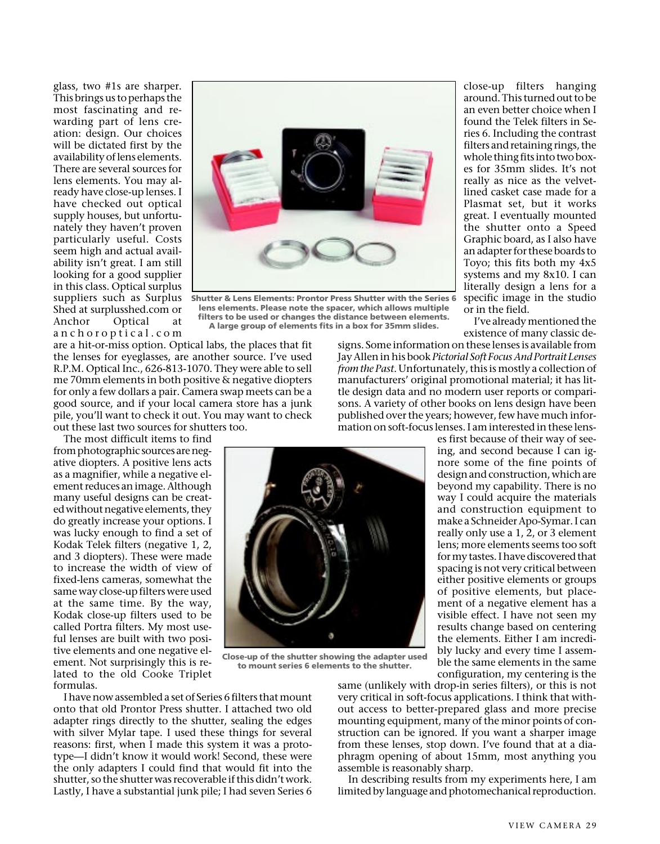glass, two #1s are sharper. This brings us to perhaps the most fascinating and rewarding part of lens creation: design. Our choices will be dictated first by the availability of lens elements. There are several sources for lens elements. You may already have close-up lenses. I have checked out optical supply houses, but unfortunately they haven't proven particularly useful. Costs seem high and actual availability isn't great. I am still looking for a good supplier in this class. Optical surplus suppliers such as Surplus Shed at surplusshed.com or Anchor Optical at anchoroptical.com



**Shutter & Lens Elements: Prontor Press Shutter with the Series 6 lens elements. Please note the spacer, which allows multiple filters to be used or changes the distance between elements. A large group of elements fits in a box for 35mm slides.**

are a hit-or-miss option. Optical labs, the places that fit the lenses for eyeglasses, are another source. I've used R.P.M. Optical Inc., 626-813-1070. They were able to sell me 70mm elements in both positive & negative diopters for only a few dollars a pair. Camera swap meets can be a good source, and if your local camera store has a junk pile, you'll want to check it out. You may want to check out these last two sources for shutters too.

The most difficult items to find

from photographic sources are negative diopters. A positive lens acts as a magnifier, while a negative element reduces an image. Although many useful designs can be created without negative elements, they do greatly increase your options. I was lucky enough to find a set of Kodak Telek filters (negative 1, 2, and 3 diopters). These were made to increase the width of view of fixed-lens cameras, somewhat the same way close-up filters were used at the same time. By the way, Kodak close-up filters used to be called Portra filters. My most useful lenses are built with two positive elements and one negative element. Not surprisingly this is related to the old Cooke Triplet formulas.



**Close-up of the shutter showing the adapter used to mount series 6 elements to the shutter.**

close-up filters hanging around. This turned out to be an even better choice when I found the Telek filters in Series 6. Including the contrast filters and retaining rings, the whole thing fits into two boxes for 35mm slides. It's not really as nice as the velvetlined casket case made for a Plasmat set, but it works great. I eventually mounted the shutter onto a Speed Graphic board, as I also have an adapter for these boards to Toyo; this fits both my 4x5 systems and my 8x10. I can literally design a lens for a specific image in the studio or in the field.

I've already mentioned the existence of many classic de-

signs. Some information on these lenses is available from Jay Allen in his book *Pictorial Soft Focus And Portrait Lenses from the Past*. Unfortunately, this is mostly a collection of manufacturers' original promotional material; it has little design data and no modern user reports or comparisons. A variety of other books on lens design have been published over the years; however, few have much information on soft-focus lenses. I am interested in these lens-

es first because of their way of seeing, and second because I can ignore some of the fine points of design and construction, which are beyond my capability. There is no way I could acquire the materials and construction equipment to make a Schneider Apo-Symar. I can really only use a 1, 2, or 3 element lens; more elements seems too soft for my tastes. I have discovered that spacing is not very critical between either positive elements or groups of positive elements, but placement of a negative element has a visible effect. I have not seen my results change based on centering the elements. Either I am incredibly lucky and every time I assemble the same elements in the same configuration, my centering is the

I have now assembled a set of Series 6 filters that mount onto that old Prontor Press shutter. I attached two old adapter rings directly to the shutter, sealing the edges with silver Mylar tape. I used these things for several reasons: first, when I made this system it was a prototype—I didn't know it would work! Second, these were the only adapters I could find that would fit into the shutter, so the shutter was recoverable if this didn't work. Lastly, I have a substantial junk pile; I had seven Series 6

same (unlikely with drop-in series filters), or this is not very critical in soft-focus applications. I think that without access to better-prepared glass and more precise mounting equipment, many of the minor points of construction can be ignored. If you want a sharper image from these lenses, stop down. I've found that at a diaphragm opening of about 15mm, most anything you assemble is reasonably sharp.

In describing results from my experiments here, I am limited by language and photomechanical reproduction.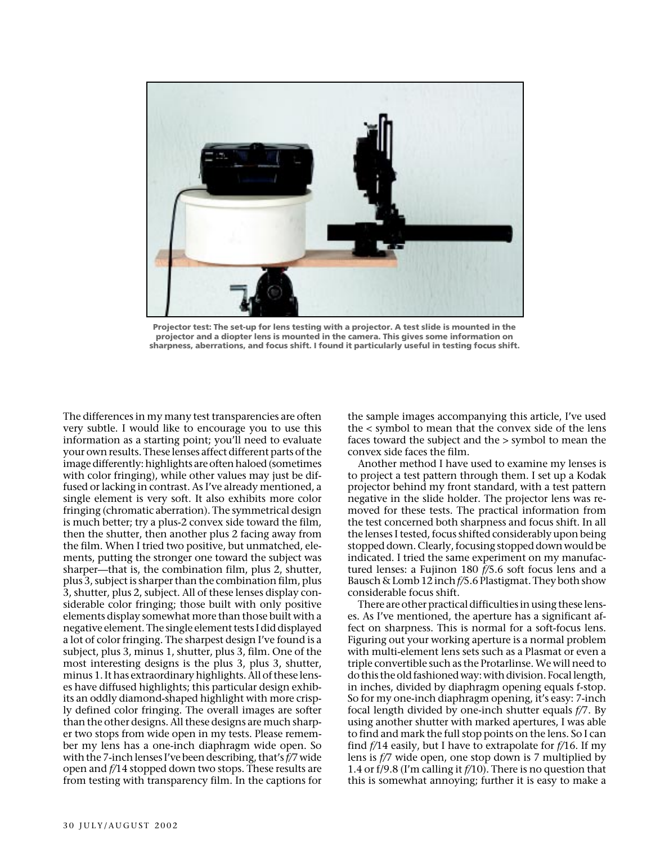

**Projector test: The set-up for lens testing with a projector. A test slide is mounted in the projector and a diopter lens is mounted in the camera. This gives some information on sharpness, aberrations, and focus shift. I found it particularly useful in testing focus shift.**

The differences in my many test transparencies are often very subtle. I would like to encourage you to use this information as a starting point; you'll need to evaluate your own results. These lenses affect different parts of the image differently: highlights are often haloed (sometimes with color fringing), while other values may just be diffused or lacking in contrast. As I've already mentioned, a single element is very soft. It also exhibits more color fringing (chromatic aberration). The symmetrical design is much better; try a plus-2 convex side toward the film, then the shutter, then another plus 2 facing away from the film. When I tried two positive, but unmatched, elements, putting the stronger one toward the subject was sharper—that is, the combination film, plus 2, shutter, plus 3, subject is sharper than the combination film, plus 3, shutter, plus 2, subject. All of these lenses display considerable color fringing; those built with only positive elements display somewhat more than those built with a negative element. The single element tests I did displayed a lot of color fringing. The sharpest design I've found is a subject, plus 3, minus 1, shutter, plus 3, film. One of the most interesting designs is the plus 3, plus 3, shutter, minus 1. It has extraordinary highlights. All of these lenses have diffused highlights; this particular design exhibits an oddly diamond-shaped highlight with more crisply defined color fringing. The overall images are softer than the other designs. All these designs are much sharper two stops from wide open in my tests. Please remember my lens has a one-inch diaphragm wide open. So with the 7-inch lenses I've been describing, that's *f/*7 wide open and *f/*14 stopped down two stops. These results are from testing with transparency film. In the captions for the sample images accompanying this article, I've used the < symbol to mean that the convex side of the lens faces toward the subject and the > symbol to mean the convex side faces the film.

Another method I have used to examine my lenses is to project a test pattern through them. I set up a Kodak projector behind my front standard, with a test pattern negative in the slide holder. The projector lens was removed for these tests. The practical information from the test concerned both sharpness and focus shift. In all the lenses I tested, focus shifted considerably upon being stopped down. Clearly, focusing stopped down would be indicated. I tried the same experiment on my manufactured lenses: a Fujinon 180 *f/*5.6 soft focus lens and a Bausch & Lomb 12 inch *f/*5.6 Plastigmat. They both show considerable focus shift.

There are other practical difficulties in using these lenses. As I've mentioned, the aperture has a significant affect on sharpness. This is normal for a soft-focus lens. Figuring out your working aperture is a normal problem with multi-element lens sets such as a Plasmat or even a triple convertible such as the Protarlinse. We will need to do this the old fashioned way: with division. Focal length, in inches, divided by diaphragm opening equals f-stop. So for my one-inch diaphragm opening, it's easy: 7-inch focal length divided by one-inch shutter equals *f/*7. By using another shutter with marked apertures, I was able to find and mark the full stop points on the lens. So I can find *f/*14 easily, but I have to extrapolate for *f/*16. If my lens is *f/*7 wide open, one stop down is 7 multiplied by 1.4 or f/9.8 (I'm calling it *f/*10). There is no question that this is somewhat annoying; further it is easy to make a